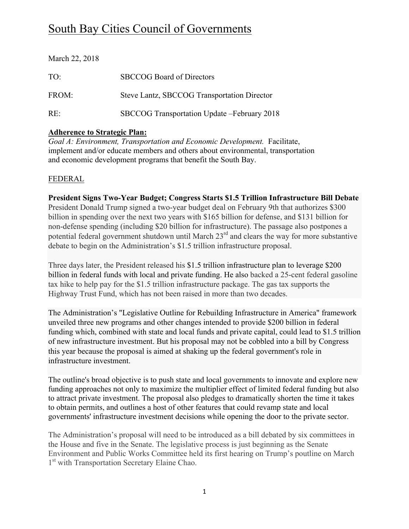# South Bay Cities Council of Governments

| March 22, 2018  |                                              |
|-----------------|----------------------------------------------|
| TO <sup>1</sup> | <b>SBCCOG</b> Board of Directors             |
| FROM:           | Steve Lantz, SBCCOG Transportation Director  |
| $RE^+$          | SBCCOG Transportation Update - February 2018 |

#### **Adherence to Strategic Plan:**

*Goal A: Environment, Transportation and Economic Development.* Facilitate, implement and/or educate members and others about environmental, transportation and economic development programs that benefit the South Bay.

## FEDERAL

**President Signs Two-Year Budget; Congress Starts \$1.5 Trillion Infrastructure Bill Debate** President Donald Trump signed a two-year budget deal on February 9th that authorizes \$300 billion in spending over the next two years with \$165 billion for defense, and \$131 billion for non-defense spending (including \$20 billion for infrastructure). The passage also postpones a potential federal government shutdown until March 23<sup>rd</sup> and clears the way for more substantive debate to begin on the Administration's \$1.5 trillion infrastructure proposal.

Three days later, the President released his \$1.5 trillion infrastructure plan to leverage \$200 billion in federal funds with local and private funding. He also backed a 25-cent federal gasoline tax hike to help pay for the \$1.5 trillion infrastructure package. The gas tax supports the Highway Trust Fund, which has not been raised in more than two decades.

The Administration's "Legislative Outline for Rebuilding Infrastructure in America" framework unveiled three new programs and other changes intended to provide \$200 billion in federal funding which, combined with state and local funds and private capital, could lead to \$1.5 trillion of new infrastructure investment. But his proposal may not be cobbled into a bill by Congress this year because the proposal is aimed at shaking up the federal government's role in infrastructure investment.

The outline's broad objective is to push state and local governments to innovate and explore new funding approaches not only to maximize the multiplier effect of limited federal funding but also to attract private investment. The proposal also pledges to dramatically shorten the time it takes to obtain permits, and outlines a host of other features that could revamp state and local governments' infrastructure investment decisions while opening the door to the private sector.

The Administration's proposal will need to be introduced as a bill debated by six committees in the House and five in the Senate. The legislative process is just beginning as the Senate Environment and Public Works Committee held its first hearing on Trump's poutline on March 1<sup>st</sup> with Transportation Secretary Elaine Chao.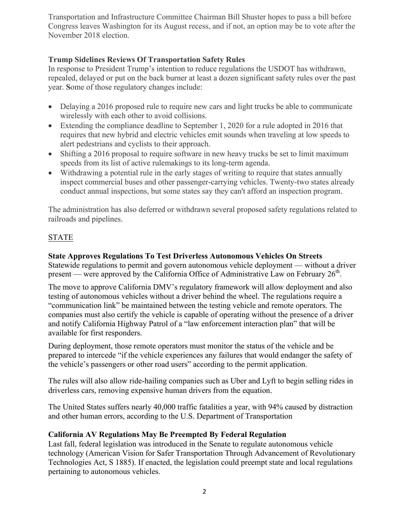Transportation and Infrastructure Committee Chairman Bill Shuster hopes to pass a bill before Congress leaves Washington for its August recess, and if not, an option may be to vote after the November 2018 election.

## **Trump Sidelines Reviews Of Transportation Safety Rules**

In response to President Trump's intention to reduce regulations the USDOT has withdrawn, repealed, delayed or put on the back burner at least a dozen significant safety rules over the past year. **S**ome of those regulatory changes include:

- Delaying a 2016 proposed rule to require new cars and light trucks be able to communicate wirelessly with each other to avoid collisions.
- Extending the compliance deadline to September 1, 2020 for a rule adopted in 2016 that requires that new hybrid and electric vehicles emit sounds when traveling at low speeds to alert pedestrians and cyclists to their approach.
- Shifting a 2016 proposal to require software in new heavy trucks be set to limit maximum speeds from its list of active rulemakings to its long-term agenda.
- Withdrawing a potential rule in the early stages of writing to require that states annually inspect commercial buses and other passenger-carrying vehicles. Twenty-two states already conduct annual inspections, but some states say they can't afford an inspection program.

The administration has also deferred or withdrawn several proposed safety regulations related to railroads and pipelines.

## STATE

## **State Approves Regulations To Test Driverless Autonomous Vehicles On Streets**

Statewide regulations to permit and govern autonomous vehicle deployment — without a driver present — were approved by the California Office of Administrative Law on February  $26<sup>th</sup>$ .

The move to approve California DMV's regulatory framework will allow deployment and also testing of autonomous vehicles without a driver behind the wheel. The regulations require a "communication link" be maintained between the testing vehicle and remote operators. The companies must also certify the vehicle is capable of operating without the presence of a driver and notify California Highway Patrol of a "law enforcement interaction plan" that will be available for first responders.

During deployment, those remote operators must monitor the status of the vehicle and be prepared to intercede "if the vehicle experiences any failures that would endanger the safety of the vehicle's passengers or other road users" according to the permit application.

The rules will also allow ride-hailing companies such as Uber and Lyft to begin selling rides in driverless cars, removing expensive human drivers from the equation.

The United States suffers nearly 40,000 traffic fatalities a year, with 94% caused by distraction and other human errors, according to the U.S. Department of Transportation

#### **California AV Regulations May Be Preempted By Federal Regulation**

Last fall, federal legislation was introduced in the Senate to regulate autonomous vehicle technology (American Vision for Safer Transportation Through Advancement of Revolutionary Technologies Act, S 1885). If enacted, the legislation could preempt state and local regulations pertaining to autonomous vehicles.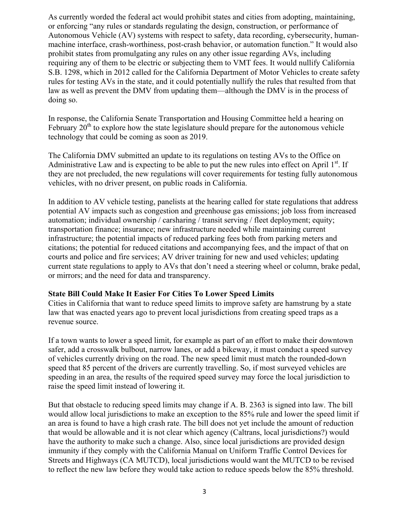As currently worded the federal act would prohibit states and cities from adopting, maintaining, or enforcing "any rules or standards regulating the design, construction, or performance of Autonomous Vehicle (AV) systems with respect to safety, data recording, cybersecurity, humanmachine interface, crash-worthiness, post-crash behavior, or automation function." It would also prohibit states from promulgating any rules on any other issue regarding AVs, including requiring any of them to be electric or subjecting them to VMT fees. It would nullify California S.B. 1298, which in 2012 called for the California Department of Motor Vehicles to create safety rules for testing AVs in the state, and it could potentially nullify the rules that resulted from that law as well as prevent the DMV from updating them—although the DMV is in the process of doing so.

In response, the California Senate Transportation and Housing Committee held a hearing on February  $20<sup>th</sup>$  to explore how the state legislature should prepare for the autonomous vehicle technology that could be coming as soon as 2019.

The California DMV submitted an update to its regulations on testing AVs to the Office on Administrative Law and is expecting to be able to put the new rules into effect on April  $1<sup>st</sup>$ . If they are not precluded, the new regulations will cover requirements for testing fully autonomous vehicles, with no driver present, on public roads in California.

In addition to AV vehicle testing, panelists at the hearing called for state regulations that address potential AV impacts such as congestion and greenhouse gas emissions; job loss from increased automation; individual ownership / carsharing / transit serving / fleet deployment; equity; transportation finance; insurance; new infrastructure needed while maintaining current infrastructure; the potential impacts of reduced parking fees both from parking meters and citations; the potential for reduced citations and accompanying fees, and the impact of that on courts and police and fire services; AV driver training for new and used vehicles; updating current state regulations to apply to AVs that don't need a steering wheel or column, brake pedal, or mirrors; and the need for data and transparency.

#### **State Bill Could Make It Easier For Cities To Lower Speed Limits**

Cities in California that want to reduce speed limits to improve safety are hamstrung by a state law that was enacted years ago to prevent local jurisdictions from creating speed traps as a revenue source.

If a town wants to lower a speed limit, for example as part of an effort to make their downtown safer, add a crosswalk bulbout, narrow lanes, or add a bikeway, it must conduct a speed survey of vehicles currently driving on the road. The new speed limit must match the rounded-down speed that 85 percent of the drivers are currently travelling. So, if most surveyed vehicles are speeding in an area, the results of the required speed survey may force the local jurisdiction to raise the speed limit instead of lowering it.

But that obstacle to reducing speed limits may change if A. B. 2363 is signed into law. The bill would allow local jurisdictions to make an exception to the 85% rule and lower the speed limit if an area is found to have a high crash rate. The bill does not yet include the amount of reduction that would be allowable and it is not clear which agency (Caltrans, local jurisdictions?) would have the authority to make such a change. Also, since local jurisdictions are provided design immunity if they comply with the California Manual on Uniform Traffic Control Devices for Streets and Highways (CA MUTCD), local jurisdictions would want the MUTCD to be revised to reflect the new law before they would take action to reduce speeds below the 85% threshold.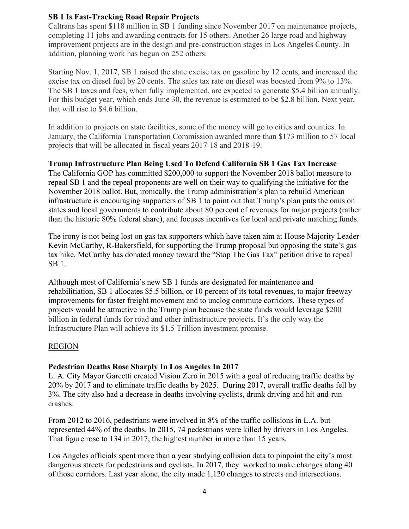#### **SB 1 Is Fast-Tracking Road Repair Projects**

Caltrans has spent \$118 million in SB 1 funding since November 2017 on maintenance projects, completing 11 jobs and awarding contracts for 15 others. Another 26 large road and highway improvement projects are in the design and pre-construction stages in Los Angeles County. In addition, planning work has begun on 252 others.

Starting Nov. 1, 2017, SB 1 raised the state excise tax on gasoline by 12 cents, and increased the excise tax on diesel fuel by 20 cents. The sales tax rate on diesel was boosted from 9% to 13%. The SB 1 taxes and fees, when fully implemented, are expected to generate \$5.4 billion annually. For this budget year, which ends June 30, the revenue is estimated to be \$2.8 billion. Next year, that will rise to \$4.6 billion.

In addition to projects on state facilities, some of the money will go to cities and counties. In January, the California Transportation Commission awarded more than \$173 million to 57 local projects that will be allocated in fiscal years 2017-18 and 2018-19.

#### **Trump Infrastructure Plan Being Used To Defend California SB 1 Gas Tax Increase**

The California GOP has committed \$200,000 to support the November 2018 ballot measure to repeal SB 1 and the repeal proponents are well on their way to qualifying the initiative for the November 2018 ballot. But, ironically, the Trump administration's plan to rebuild American infrastructure is encouraging supporters of SB 1 to point out that Trump's plan puts the onus on states and local governments to contribute about 80 percent of revenues for major projects (rather than the historic 80% federal share), and focuses incentives for local and private matching funds.

The irony is not being lost on gas tax supporters which have taken aim at House Majority Leader Kevin McCarthy, R-Bakersfield, for supporting the Trump proposal but opposing the state's gas tax hike. McCarthy has donated money toward the "Stop The Gas Tax" petition drive to repeal SB 1.

Although most of California's new SB 1 funds are designated for maintenance and rehabilitiation, SB 1 allocates \$5.5 billion, or 10 percent of its total revenues, to major freeway improvements for faster freight movement and to unclog commute corridors. These types of projects would be attractive in the Trump plan because the state funds would leverage \$200 billion in federal funds for road and other infrastructure projects. It's the only way the Infrastructure Plan will achieve its \$1.5 Trillion investment promise.

#### REGION

#### **Pedestrian Deaths Rose Sharply In Los Angeles In 2017**

L. A. City Mayor Garcetti created Vision Zero in 2015 with a goal of reducing traffic deaths by 20% by 2017 and to eliminate traffic deaths by 2025. During 2017, overall traffic deaths fell by 3%. The city also had a decrease in deaths involving cyclists, drunk driving and hit-and-run crashes.

From 2012 to 2016, pedestrians were involved in 8% of the traffic collisions in L.A. but represented 44% of the deaths. In 2015, 74 pedestrians were killed by drivers in Los Angeles. That figure rose to 134 in 2017, the highest number in more than 15 years.

Los Angeles officials spent more than a year studying collision data to pinpoint the city's most dangerous streets for pedestrians and cyclists. In 2017, they worked to make changes along 40 of those corridors. Last year alone, the city made 1,120 changes to streets and intersections.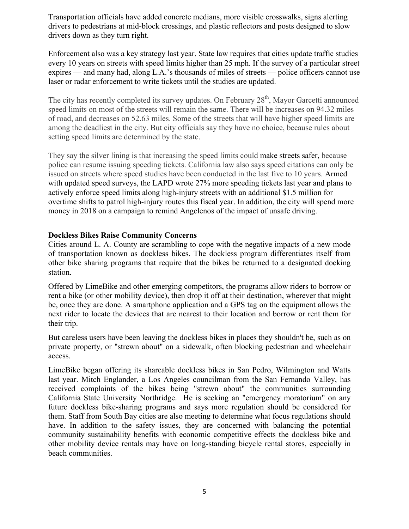Transportation officials have added concrete medians, more visible crosswalks, signs alerting drivers to pedestrians at mid-block crossings, and plastic reflectors and posts designed to slow drivers down as they turn right.

Enforcement also was a key strategy last year. State law requires that cities update traffic studies every 10 years on streets with speed limits higher than 25 mph. If the survey of a particular street expires — and many had, along L.A.'s thousands of miles of streets — police officers cannot use laser or radar enforcement to write tickets until the studies are updated.

The city has recently completed its survey updates. On February 28<sup>th</sup>, Mayor Garcetti announced speed limits on most of the streets will remain the same. There will be increases on 94.32 miles of road, and decreases on 52.63 miles. Some of the streets that will have higher speed limits are among the deadliest in the city. But city officials say they have no choice, because rules about setting speed limits are determined by the state.

They say the silver lining is that increasing the speed limits could make streets safer, because police can resume issuing speeding tickets. California law also says speed citations can only be issued on streets where speed studies have been conducted in the last five to 10 years. Armed with updated speed surveys, the LAPD wrote 27% more speeding tickets last year and plans to actively enforce speed limits along high-injury streets with an additional \$1.5 million for overtime shifts to patrol high-injury routes this fiscal year. In addition, the city will spend more money in 2018 on a campaign to remind Angelenos of the impact of unsafe driving.

#### **Dockless Bikes Raise Community Concerns**

Cities around L. A. County are scrambling to cope with the negative impacts of a new mode of transportation known as dockless bikes. The dockless program differentiates itself from other bike sharing programs that require that the bikes be returned to a designated docking station.

Offered by LimeBike and other emerging competitors, the programs allow riders to borrow or rent a bike (or other mobility device), then drop it off at their destination, wherever that might be, once they are done. A smartphone application and a GPS tag on the equipment allows the next rider to locate the devices that are nearest to their location and borrow or rent them for their trip.

But careless users have been leaving the dockless bikes in places they shouldn't be, such as on private property, or "strewn about" on a sidewalk, often blocking pedestrian and wheelchair access.

LimeBike began offering its shareable dockless bikes in San Pedro, Wilmington and Watts last year. Mitch Englander, a Los Angeles councilman from the San Fernando Valley, has received complaints of the bikes being "strewn about" the communities surrounding California State University Northridge. He is seeking an "emergency moratorium" on any future dockless bike-sharing programs and says more regulation should be considered for them. Staff from South Bay cities are also meeting to determine what focus regulations should have. In addition to the safety issues, they are concerned with balancing the potential community sustainability benefits with economic competitive effects the dockless bike and other mobility device rentals may have on long-standing bicycle rental stores, especially in beach communities.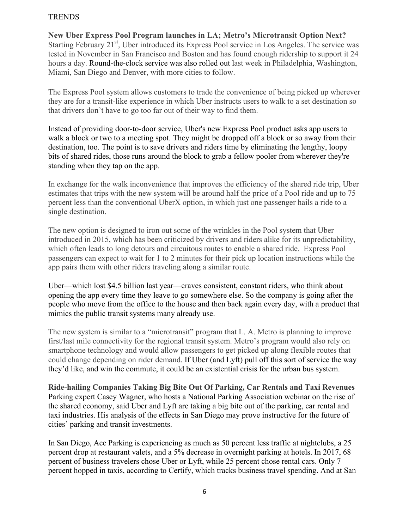#### TRENDS

**New Uber Express Pool Program launches in LA; Metro's Microtransit Option Next?** Starting February 21<sup>st</sup>, Uber introduced its Express Pool service in Los Angeles. The service was tested in November in San Francisco and Boston and has found enough ridership to support it 24 hours a day. Round-the-clock service was also rolled out last week in Philadelphia, Washington, Miami, San Diego and Denver, with more cities to follow.

The Express Pool system allows customers to trade the convenience of being picked up wherever they are for a transit-like experience in which Uber instructs users to walk to a set destination so that drivers don't have to go too far out of their way to find them.

Instead of providing door-to-door service, Uber's new Express Pool product asks app users to walk a block or two to a meeting spot. They might be dropped off a block or so away from their destination, too. The point is to save drivers and riders time by eliminating the lengthy, loopy bits of shared rides, those runs around the block to grab a fellow pooler from wherever they're standing when they tap on the app.

In exchange for the walk inconvenience that improves the efficiency of the shared ride trip, Uber estimates that trips with the new system will be around half the price of a Pool ride and up to 75 percent less than the conventional UberX option, in which just one passenger hails a ride to a single destination.

The new option is designed to iron out some of the wrinkles in the Pool system that Uber introduced in 2015, which has been criticized by drivers and riders alike for its unpredictability, which often leads to long detours and circuitous routes to enable a shared ride. Express Pool passengers can expect to wait for 1 to 2 minutes for their pick up location instructions while the app pairs them with other riders traveling along a similar route.

Uber—which lost \$4.5 billion last year—craves consistent, constant riders, who think about opening the app every time they leave to go somewhere else. So the company is going after the people who move from the office to the house and then back again every day, with a product that mimics the public transit systems many already use.

The new system is similar to a "microtransit" program that L. A. Metro is planning to improve first/last mile connectivity for the regional transit system. Metro's program would also rely on smartphone technology and would allow passengers to get picked up along flexible routes that could change depending on rider demand. If Uber (and Lyft) pull off this sort of service the way they'd like, and win the commute, it could be an existential crisis for the urban bus system.

**Ride-hailing Companies Taking Big Bite Out Of Parking, Car Rentals and Taxi Revenues** Parking expert Casey Wagner, who hosts a National Parking Association webinar on the rise of the shared economy, said Uber and Lyft are taking a big bite out of the parking, car rental and taxi industries. His analysis of the effects in San Diego may prove instructive for the future of cities' parking and transit investments.

In San Diego, Ace Parking is experiencing as much as 50 percent less traffic at nightclubs, a 25 percent drop at restaurant valets, and a 5% decrease in overnight parking at hotels. In 2017, 68 percent of business travelers chose Uber or Lyft, while 25 percent chose rental cars. Only 7 percent hopped in taxis, according to Certify, which tracks business travel spending. And at San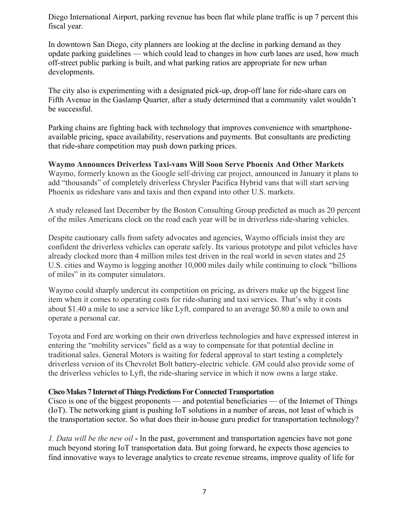Diego International Airport, parking revenue has been flat while plane traffic is up 7 percent this fiscal year.

In downtown San Diego, city planners are looking at the decline in parking demand as they update parking guidelines — which could lead to changes in how curb lanes are used, how much off-street public parking is built, and what parking ratios are appropriate for new urban developments.

The city also is experimenting with a designated pick-up, drop-off lane for ride-share cars on Fifth Avenue in the Gaslamp Quarter, after a study determined that a community valet wouldn't be successful.

Parking chains are fighting back with technology that improves convenience with smartphoneavailable pricing, space availability, reservations and payments. But consultants are predicting that ride-share competition may push down parking prices.

**Waymo Announces Driverless Taxi-vans Will Soon Serve Phoenix And Other Markets** Waymo, formerly known as the Google self-driving car project, announced in January it plans to add "thousands" of completely driverless Chrysler Pacifica Hybrid vans that will start serving Phoenix as rideshare vans and taxis and then expand into other U.S. markets.

A study released last December by the Boston Consulting Group predicted as much as 20 percent of the miles Americans clock on the road each year will be in driverless ride-sharing vehicles.

Despite cautionary calls from safety advocates and agencies, Waymo officials insist they are confident the driverless vehicles can operate safely. Its various prototype and pilot vehicles have already clocked more than 4 million miles test driven in the real world in seven states and 25 U.S. cities and Waymo is logging another 10,000 miles daily while continuing to clock "billions of miles" in its computer simulators.

Waymo could sharply undercut its competition on pricing, as drivers make up the biggest line item when it comes to operating costs for ride-sharing and taxi services. That's why it costs about \$1.40 a mile to use a service like Lyft, compared to an average \$0.80 a mile to own and operate a personal car.

Toyota and Ford are working on their own driverless technologies and have expressed interest in entering the "mobility services" field as a way to compensate for that potential decline in traditional sales. General Motors is waiting for federal approval to start testing a completely driverless version of its Chevrolet Bolt battery-electric vehicle. GM could also provide some of the driverless vehicles to Lyft, the ride-sharing service in which it now owns a large stake.

#### **Cisco Makes 7 Internet of Things Predictions For Connected Transportation**

Cisco is one of the biggest proponents — and potential beneficiaries — of the Internet of Things (IoT). The networking giant is pushing IoT solutions in a number of areas, not least of which is the transportation sector. So what does their in-house guru predict for transportation technology?

*1. Data will be the new oil* **-** In the past, government and transportation agencies have not gone much beyond storing IoT transportation data. But going forward, he expects those agencies to find innovative ways to leverage analytics to create revenue streams, improve quality of life for